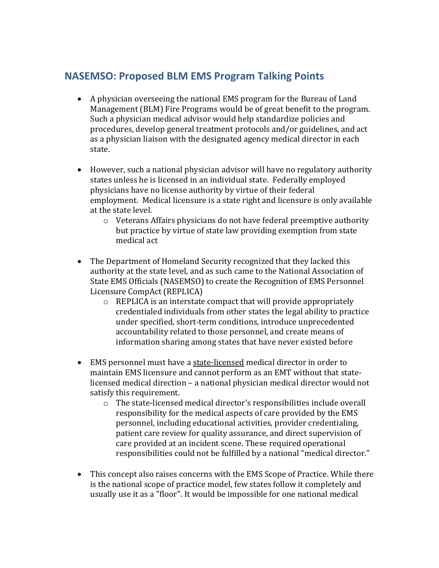## **NASEMSO: Proposed BLM EMS Program Talking Points**

- A physician overseeing the national EMS program for the Bureau of Land Management (BLM) Fire Programs would be of great benefit to the program. Such a physician medical advisor would help standardize policies and procedures, develop general treatment protocols and/or guidelines, and act as a physician liaison with the designated agency medical director in each state.
- However, such a national physician advisor will have no regulatory authority states unless he is licensed in an individual state. Federally employed physicians have no license authority by virtue of their federal employment. Medical licensure is a state right and licensure is only available at the state level.
	- o Veterans Affairs physicians do not have federal preemptive authority but practice by virtue of state law providing exemption from state medical act
- The Department of Homeland Security recognized that they lacked this authority at the state level, and as such came to the National Association of State EMS Officials (NASEMSO) to create the Recognition of EMS Personnel Licensure CompAct (REPLICA)
	- o REPLICA is an interstate compact that will provide appropriately credentialed individuals from other states the legal ability to practice under specified, short-term conditions, introduce unprecedented accountability related to those personnel, and create means of information sharing among states that have never existed before
- EMS personnel must have a state-licensed medical director in order to maintain EMS licensure and cannot perform as an EMT without that statelicensed medical direction – a national physician medical director would not satisfy this requirement.
	- o The state-licensed medical director's responsibilities include overall responsibility for the medical aspects of care provided by the EMS personnel, including educational activities, provider credentialing, patient care review for quality assurance, and direct supervision of care provided at an incident scene. These required operational responsibilities could not be fulfilled by a national "medical director."
- This concept also raises concerns with the EMS Scope of Practice. While there is the national scope of practice model, few states follow it completely and usually use it as a "floor". It would be impossible for one national medical